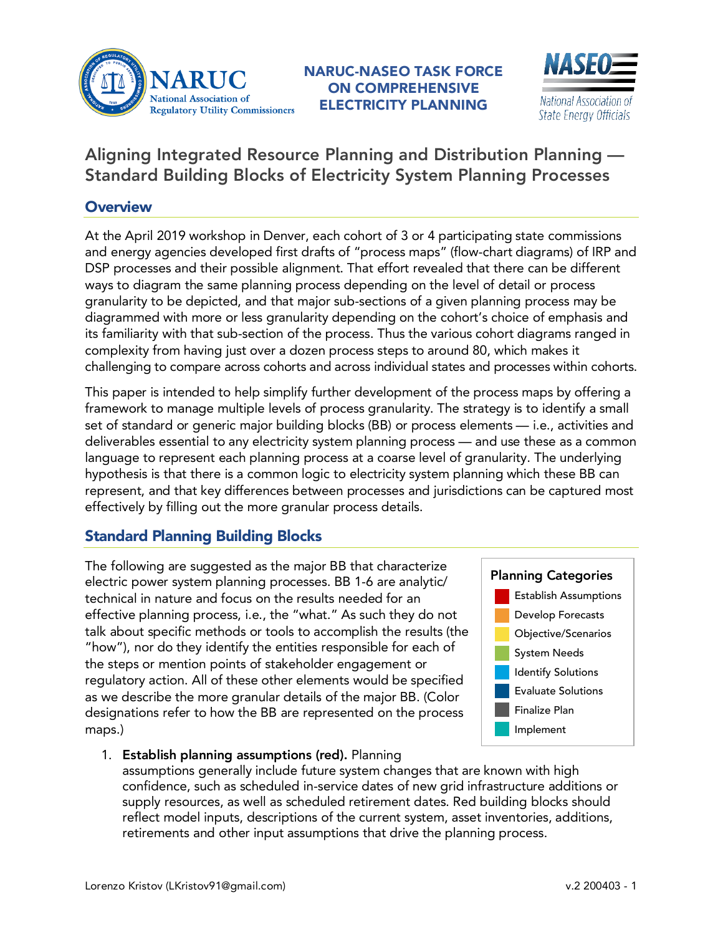

NARUC-NASEO TASK FORCE ON COMPREHENSIVE ELECTRICITY PLANNING



## Aligning Integrated Resource Planning and Distribution Planning — Standard Building Blocks of Electricity System Planning Processes

## **Overview**

At the April 2019 workshop in Denver, each cohort of 3 or 4 participating state commissions and energy agencies developed first drafts of "process maps" (flow-chart diagrams) of IRP and DSP processes and their possible alignment. That effort revealed that there can be different ways to diagram the same planning process depending on the level of detail or process granularity to be depicted, and that major sub-sections of a given planning process may be diagrammed with more or less granularity depending on the cohort's choice of emphasis and its familiarity with that sub-section of the process. Thus the various cohort diagrams ranged in complexity from having just over a dozen process steps to around 80, which makes it challenging to compare across cohorts and across individual states and processes within cohorts.

This paper is intended to help simplify further development of the process maps by offering a framework to manage multiple levels of process granularity. The strategy is to identify a small set of standard or generic major building blocks (BB) or process elements — i.e., activities and deliverables essential to any electricity system planning process — and use these as a common language to represent each planning process at a coarse level of granularity. The underlying hypothesis is that there is a common logic to electricity system planning which these BB can represent, and that key differences between processes and jurisdictions can be captured most effectively by filling out the more granular process details.

## Standard Planning Building Blocks

The following are suggested as the major BB that characterize electric power system planning processes. BB 1-6 are analytic/ technical in nature and focus on the results needed for an effective planning process, i.e., the "what." As such they do not talk about specific methods or tools to accomplish the results (the "how"), nor do they identify the entities responsible for each of the steps or mention points of stakeholder engagement or regulatory action. All of these other elements would be specified as we describe the more granular details of the major BB. (Color designations refer to how the BB are represented on the process maps.)



1. Establish planning assumptions (red). Planning

assumptions generally include future system changes that are known with high confidence, such as scheduled in-service dates of new grid infrastructure additions or supply resources, as well as scheduled retirement dates. Red building blocks should reflect model inputs, descriptions of the current system, asset inventories, additions, retirements and other input assumptions that drive the planning process.